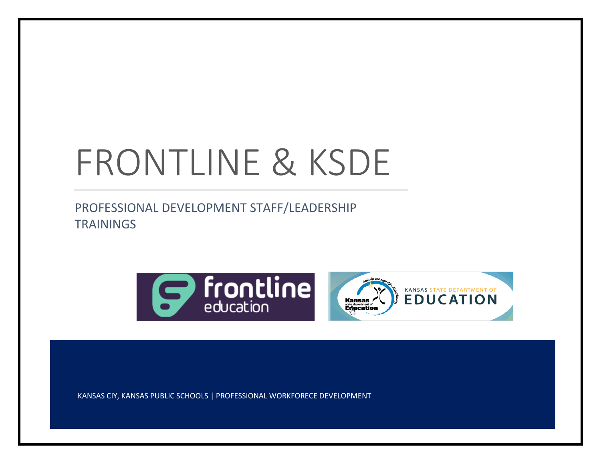# FRONTLINE & KSDE

PROFESSIONAL DEVELOPMENT STAFF/LEADERSHIP **TRAININGS** 





KANSAS CIY, KANSAS PUBLIC SCHOOLS | PROFESSIONAL WORKFORECE DEVELOPMENT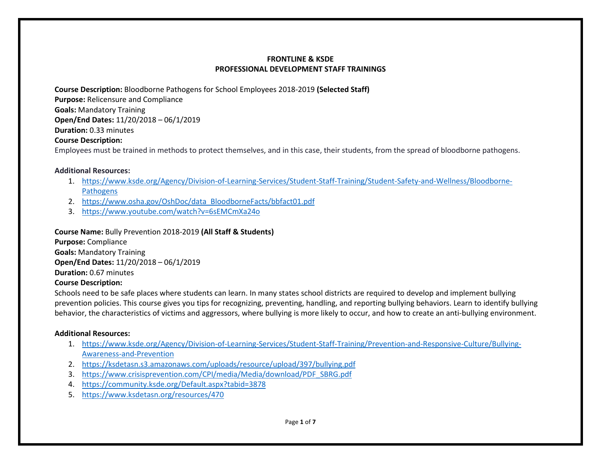**Course Description:** Bloodborne Pathogens for School Employees 2018-2019 **(Selected Staff)**

**Purpose:** Relicensure and Compliance

**Goals:** Mandatory Training

**Open/End Dates:** 11/20/2018 – 06/1/2019

**Duration:** 0.33 minutes

# **Course Description:**

Employees must be trained in methods to protect themselves, and in this case, their students, from the spread of bloodborne pathogens.

# **Additional Resources:**

- 1. [https://www.ksde.org/Agency/Division-of-Learning-Services/Student-Staff-Training/Student-Safety-and-Wellness/Bloodborne-](https://www.ksde.org/Agency/Division-of-Learning-Services/Student-Staff-Training/Student-Safety-and-Wellness/Bloodborne-Pathogens)**[Pathogens](https://www.ksde.org/Agency/Division-of-Learning-Services/Student-Staff-Training/Student-Safety-and-Wellness/Bloodborne-Pathogens)**
- 2. [https://www.osha.gov/OshDoc/data\\_BloodborneFacts/bbfact01.pdf](https://www.osha.gov/OshDoc/data_BloodborneFacts/bbfact01.pdf)
- 3. <https://www.youtube.com/watch?v=6sEMCmXa24o>

**Course Name:** Bully Prevention 2018-2019 **(All Staff & Students)**

**Purpose:** Compliance **Goals:** Mandatory Training **Open/End Dates:** 11/20/2018 – 06/1/2019 **Duration:** 0.67 minutes

## **Course Description:**

Schools need to be safe places where students can learn. In many states school districts are required to develop and implement bullying prevention policies. This course gives you tips for recognizing, preventing, handling, and reporting bullying behaviors. Learn to identify bullying behavior, the characteristics of victims and aggressors, where bullying is more likely to occur, and how to create an anti-bullying environment.

# **Additional Resources:**

- 1. [https://www.ksde.org/Agency/Division-of-Learning-Services/Student-Staff-Training/Prevention-and-Responsive-Culture/Bullying-](https://www.ksde.org/Agency/Division-of-Learning-Services/Student-Staff-Training/Prevention-and-Responsive-Culture/Bullying-Awareness-and-Prevention)[Awareness-and-Prevention](https://www.ksde.org/Agency/Division-of-Learning-Services/Student-Staff-Training/Prevention-and-Responsive-Culture/Bullying-Awareness-and-Prevention)
- 2. <https://ksdetasn.s3.amazonaws.com/uploads/resource/upload/397/bullying.pdf>
- 3. [https://www.crisisprevention.com/CPI/media/Media/download/PDF\\_SBRG.pdf](https://www.crisisprevention.com/CPI/media/Media/download/PDF_SBRG.pdf)
- 4. <https://community.ksde.org/Default.aspx?tabid=3878>
- 5. <https://www.ksdetasn.org/resources/470>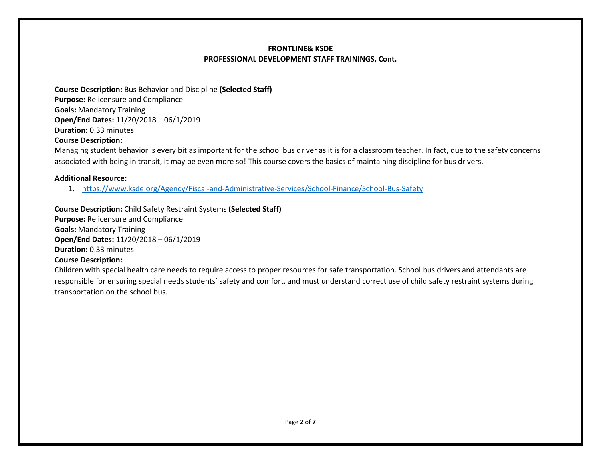**Course Description:** Bus Behavior and Discipline **(Selected Staff) Purpose:** Relicensure and Compliance **Goals:** Mandatory Training **Open/End Dates:** 11/20/2018 – 06/1/2019 **Duration:** 0.33 minutes

#### **Course Description:**

Managing student behavior is every bit as important for the school bus driver as it is for a classroom teacher. In fact, due to the safety concerns associated with being in transit, it may be even more so! This course covers the basics of maintaining discipline for bus drivers.

## **Additional Resource:**

1. <https://www.ksde.org/Agency/Fiscal-and-Administrative-Services/School-Finance/School-Bus-Safety>

**Course Description:** Child Safety Restraint Systems **(Selected Staff) Purpose:** Relicensure and Compliance **Goals:** Mandatory Training **Open/End Dates:** 11/20/2018 – 06/1/2019 **Duration:** 0.33 minutes **Course Description:**

Children with special health care needs to require access to proper resources for safe transportation. School bus drivers and attendants are responsible for ensuring special needs students' safety and comfort, and must understand correct use of child safety restraint systems during transportation on the school bus.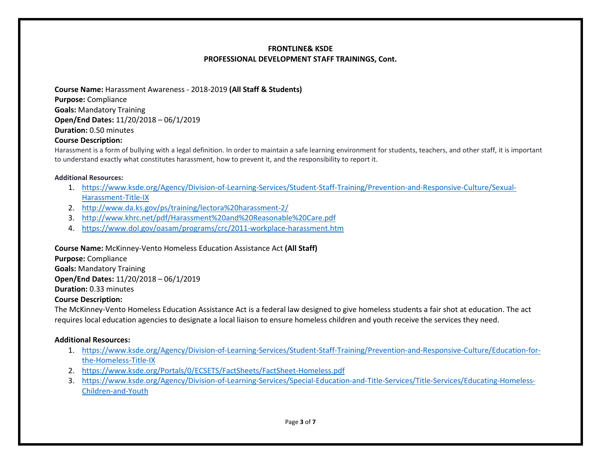**Course Name:** Harassment Awareness - 2018-2019 **(All Staff & Students) Purpose:** Compliance **Goals:** Mandatory Training **Open/End Dates:** 11/20/2018 – 06/1/2019 **Duration:** 0.50 minutes

#### **Course Description:**

Harassment is a form of bullying with a legal definition. In order to maintain a safe learning environment for students, teachers, and other staff, it is important to understand exactly what constitutes harassment, how to prevent it, and the responsibility to report it.

#### **Additional Resources:**

- 1. [https://www.ksde.org/Agency/Division-of-Learning-Services/Student-Staff-Training/Prevention-and-Responsive-Culture/Sexual-](https://www.ksde.org/Agency/Division-of-Learning-Services/Student-Staff-Training/Prevention-and-Responsive-Culture/Sexual-Harassment-Title-IX)[Harassment-Title-IX](https://www.ksde.org/Agency/Division-of-Learning-Services/Student-Staff-Training/Prevention-and-Responsive-Culture/Sexual-Harassment-Title-IX)
- 2. <http://www.da.ks.gov/ps/training/lectora%20harassment-2/>
- 3. <http://www.khrc.net/pdf/Harassment%20and%20Reasonable%20Care.pdf>
- 4. <https://www.dol.gov/oasam/programs/crc/2011-workplace-harassment.htm>

**Course Name:** McKinney-Vento Homeless Education Assistance Act **(All Staff)**

**Purpose:** Compliance **Goals:** Mandatory Training **Open/End Dates:** 11/20/2018 – 06/1/2019

**Duration:** 0.33 minutes

## **Course Description:**

The McKinney-Vento Homeless Education Assistance Act is a federal law designed to give homeless students a fair shot at education. The act requires local education agencies to designate a local liaison to ensure homeless children and youth receive the services they need.

## **Additional Resources:**

- 1. [https://www.ksde.org/Agency/Division-of-Learning-Services/Student-Staff-Training/Prevention-and-Responsive-Culture/Education-for](https://www.ksde.org/Agency/Division-of-Learning-Services/Student-Staff-Training/Prevention-and-Responsive-Culture/Education-for-the-Homeless-Title-IX)[the-Homeless-Title-IX](https://www.ksde.org/Agency/Division-of-Learning-Services/Student-Staff-Training/Prevention-and-Responsive-Culture/Education-for-the-Homeless-Title-IX)
- 2. <https://www.ksde.org/Portals/0/ECSETS/FactSheets/FactSheet-Homeless.pdf>
- 3. [https://www.ksde.org/Agency/Division-of-Learning-Services/Special-Education-and-Title-Services/Title-Services/Educating-Homeless-](https://www.ksde.org/Agency/Division-of-Learning-Services/Special-Education-and-Title-Services/Title-Services/Educating-Homeless-Children-and-Youth)[Children-and-Youth](https://www.ksde.org/Agency/Division-of-Learning-Services/Special-Education-and-Title-Services/Title-Services/Educating-Homeless-Children-and-Youth)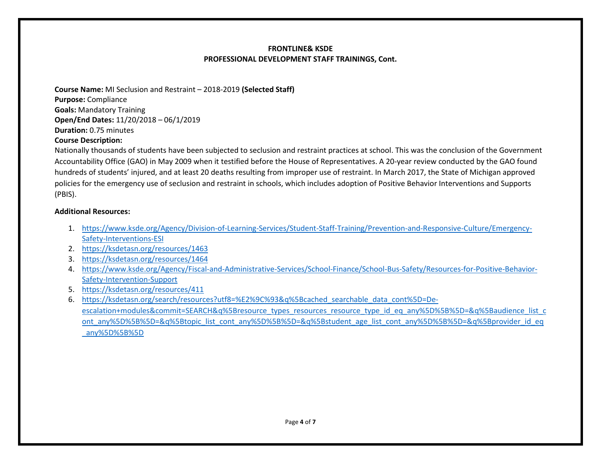**Course Name:** MI Seclusion and Restraint – 2018-2019 **(Selected Staff) Purpose:** Compliance **Goals:** Mandatory Training **Open/End Dates:** 11/20/2018 – 06/1/2019 **Duration:** 0.75 minutes

## **Course Description:**

Nationally thousands of students have been subjected to seclusion and restraint practices at school. This was the conclusion of the Government Accountability Office (GAO) in May 2009 when it testified before the House of Representatives. A 20-year review conducted by the GAO found hundreds of students' injured, and at least 20 deaths resulting from improper use of restraint. In March 2017, the State of Michigan approved policies for the emergency use of seclusion and restraint in schools, which includes adoption of Positive Behavior Interventions and Supports (PBIS).

#### **Additional Resources:**

- 1. [https://www.ksde.org/Agency/Division-of-Learning-Services/Student-Staff-Training/Prevention-and-Responsive-Culture/Emergency-](https://www.ksde.org/Agency/Division-of-Learning-Services/Student-Staff-Training/Prevention-and-Responsive-Culture/Emergency-Safety-Interventions-ESI)[Safety-Interventions-ESI](https://www.ksde.org/Agency/Division-of-Learning-Services/Student-Staff-Training/Prevention-and-Responsive-Culture/Emergency-Safety-Interventions-ESI)
- 2. <https://ksdetasn.org/resources/1463>
- 3. <https://ksdetasn.org/resources/1464>
- 4. [https://www.ksde.org/Agency/Fiscal-and-Administrative-Services/School-Finance/School-Bus-Safety/Resources-for-Positive-Behavior-](https://www.ksde.org/Agency/Fiscal-and-Administrative-Services/School-Finance/School-Bus-Safety/Resources-for-Positive-Behavior-Safety-Intervention-Support)[Safety-Intervention-Support](https://www.ksde.org/Agency/Fiscal-and-Administrative-Services/School-Finance/School-Bus-Safety/Resources-for-Positive-Behavior-Safety-Intervention-Support)
- 5. <https://ksdetasn.org/resources/411>
- 6. [https://ksdetasn.org/search/resources?utf8=%E2%9C%93&q%5Bcached\\_searchable\\_data\\_cont%5D=De](https://ksdetasn.org/search/resources?utf8=%E2%9C%93&q%5Bcached_searchable_data_cont%5D=De-escalation+modules&commit=SEARCH&q%5Bresource_types_resources_resource_type_id_eq_any%5D%5B%5D=&q%5Baudience_list_cont_any%5D%5B%5D=&q%5Btopic_list_cont_any%5D%5B%5D=&q%5Bstudent_age_list_cont_any%5D%5B%5D=&q%5Bprovider_id_eq_any%5D%5B%5D)[escalation+modules&commit=SEARCH&q%5Bresource\\_types\\_resources\\_resource\\_type\\_id\\_eq\\_any%5D%5B%5D=&q%5Baudience\\_list\\_c](https://ksdetasn.org/search/resources?utf8=%E2%9C%93&q%5Bcached_searchable_data_cont%5D=De-escalation+modules&commit=SEARCH&q%5Bresource_types_resources_resource_type_id_eq_any%5D%5B%5D=&q%5Baudience_list_cont_any%5D%5B%5D=&q%5Btopic_list_cont_any%5D%5B%5D=&q%5Bstudent_age_list_cont_any%5D%5B%5D=&q%5Bprovider_id_eq_any%5D%5B%5D) [ont\\_any%5D%5B%5D=&q%5Btopic\\_list\\_cont\\_any%5D%5B%5D=&q%5Bstudent\\_age\\_list\\_cont\\_any%5D%5B%5D=&q%5Bprovider\\_id\\_eq](https://ksdetasn.org/search/resources?utf8=%E2%9C%93&q%5Bcached_searchable_data_cont%5D=De-escalation+modules&commit=SEARCH&q%5Bresource_types_resources_resource_type_id_eq_any%5D%5B%5D=&q%5Baudience_list_cont_any%5D%5B%5D=&q%5Btopic_list_cont_any%5D%5B%5D=&q%5Bstudent_age_list_cont_any%5D%5B%5D=&q%5Bprovider_id_eq_any%5D%5B%5D) [\\_any%5D%5B%5D](https://ksdetasn.org/search/resources?utf8=%E2%9C%93&q%5Bcached_searchable_data_cont%5D=De-escalation+modules&commit=SEARCH&q%5Bresource_types_resources_resource_type_id_eq_any%5D%5B%5D=&q%5Baudience_list_cont_any%5D%5B%5D=&q%5Btopic_list_cont_any%5D%5B%5D=&q%5Bstudent_age_list_cont_any%5D%5B%5D=&q%5Bprovider_id_eq_any%5D%5B%5D)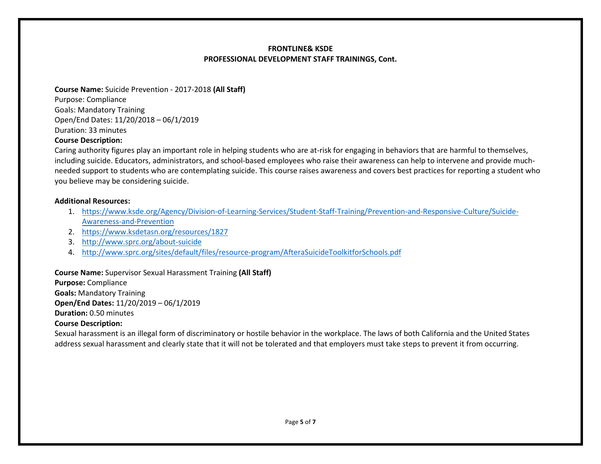**Course Name:** Suicide Prevention - 2017-2018 **(All Staff)** Purpose: Compliance Goals: Mandatory Training Open/End Dates: 11/20/2018 – 06/1/2019 Duration: 33 minutes

## **Course Description:**

Caring authority figures play an important role in helping students who are at-risk for engaging in behaviors that are harmful to themselves, including suicide. Educators, administrators, and school-based employees who raise their awareness can help to intervene and provide muchneeded support to students who are contemplating suicide. This course raises awareness and covers best practices for reporting a student who you believe may be considering suicide.

#### **Additional Resources:**

- 1. [https://www.ksde.org/Agency/Division-of-Learning-Services/Student-Staff-Training/Prevention-and-Responsive-Culture/Suicide-](https://www.ksde.org/Agency/Division-of-Learning-Services/Student-Staff-Training/Prevention-and-Responsive-Culture/Suicide-Awareness-and-Prevention)[Awareness-and-Prevention](https://www.ksde.org/Agency/Division-of-Learning-Services/Student-Staff-Training/Prevention-and-Responsive-Culture/Suicide-Awareness-and-Prevention)
- 2. <https://www.ksdetasn.org/resources/1827>
- 3. <http://www.sprc.org/about-suicide>
- 4. <http://www.sprc.org/sites/default/files/resource-program/AfteraSuicideToolkitforSchools.pdf>

## **Course Name:** Supervisor Sexual Harassment Training **(All Staff)**

**Purpose:** Compliance **Goals:** Mandatory Training **Open/End Dates:** 11/20/2019 – 06/1/2019 **Duration:** 0.50 minutes

## **Course Description:**

Sexual harassment is an illegal form of discriminatory or hostile behavior in the workplace. The laws of both California and the United States address sexual harassment and clearly state that it will not be tolerated and that employers must take steps to prevent it from occurring.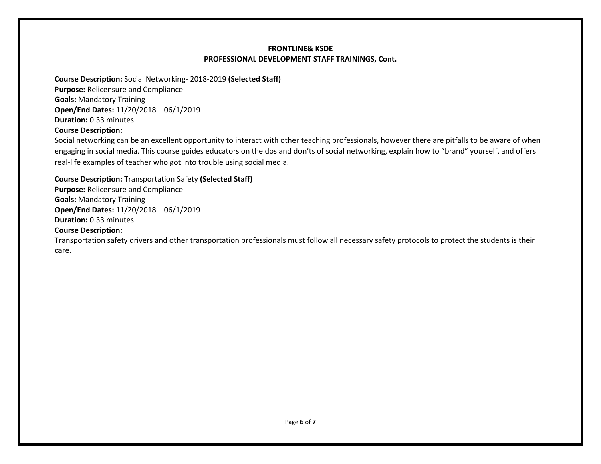**Course Description:** Social Networking- 2018-2019 **(Selected Staff) Purpose:** Relicensure and Compliance **Goals:** Mandatory Training **Open/End Dates:** 11/20/2018 – 06/1/2019 **Duration:** 0.33 minutes **Course Description:**

Social networking can be an excellent opportunity to interact with other teaching professionals, however there are pitfalls to be aware of when engaging in social media. This course guides educators on the dos and don'ts of social networking, explain how to "brand" yourself, and offers real-life examples of teacher who got into trouble using social media.

#### **Course Description:** Transportation Safety **(Selected Staff)**

**Purpose:** Relicensure and Compliance **Goals:** Mandatory Training **Open/End Dates:** 11/20/2018 – 06/1/2019 **Duration:** 0.33 minutes

#### **Course Description:**

Transportation safety drivers and other transportation professionals must follow all necessary safety protocols to protect the students is their care.